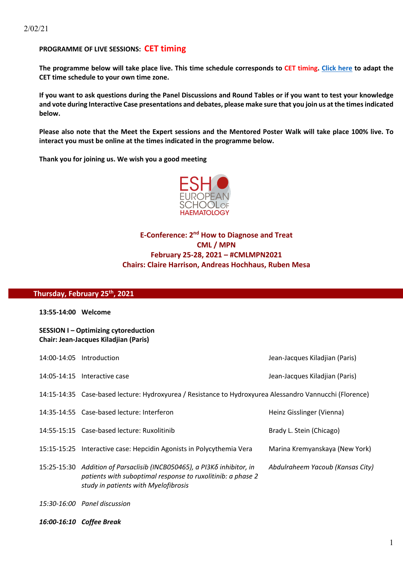## **PROGRAMME OF LIVE SESSIONS: CET timing**

**The programme below will take place live. This time schedule corresponds to CET timing. Click here to adapt the CET time schedule to your own time zone.** 

**If you want to ask questions during the Panel Discussions and Round Tables or if you want to test your knowledge and vote during Interactive Case presentations and debates, please make sure that you join us at the times indicated below.**

**Please also note that the Meet the Expert sessions and the Mentored Poster Walk will take place 100% live. To interact you must be online at the times indicated in the programme below.**

**Thank you for joining us. We wish you a good meeting**



# **E-Conference: 2<sup>nd</sup> How to Diagnose and Treat CML / MPN February 25-28, 2021 – #CMLMPN2021 Chairs: Claire Harrison, Andreas Hochhaus, Ruben Mesa**

#### **Thursday, February 25th, 2021**

**13:55-14:00 Welcome** 

**SESSION I – Optimizing cytoreduction Chair: Jean-Jacques Kiladjian (Paris)**

| 14:00-14:05 Introduction                                                                                                                                                               | Jean-Jacques Kiladjian (Paris)   |
|----------------------------------------------------------------------------------------------------------------------------------------------------------------------------------------|----------------------------------|
| 14:05-14:15 Interactive case                                                                                                                                                           | Jean-Jacques Kiladjian (Paris)   |
| 14:15-14:35 Case-based lecture: Hydroxyurea / Resistance to Hydroxyurea Alessandro Vannucchi (Florence)                                                                                |                                  |
| 14:35-14:55 Case-based lecture: Interferon                                                                                                                                             | Heinz Gisslinger (Vienna)        |
| 14:55-15:15 Case-based lecture: Ruxolitinib                                                                                                                                            | Brady L. Stein (Chicago)         |
| 15:15-15:25 Interactive case: Hepcidin Agonists in Polycythemia Vera                                                                                                                   | Marina Kremyanskaya (New York)   |
| 15:25-15:30 Addition of Parsaclisib (INCB050465), a PI3K $\delta$ inhibitor, in<br>patients with suboptimal response to ruxolitinib: a phase 2<br>study in patients with Myelofibrosis | Abdulraheem Yacoub (Kansas City) |

- *15:30-16:00 Panel discussion*
- *16:00-16:10 Coffee Break*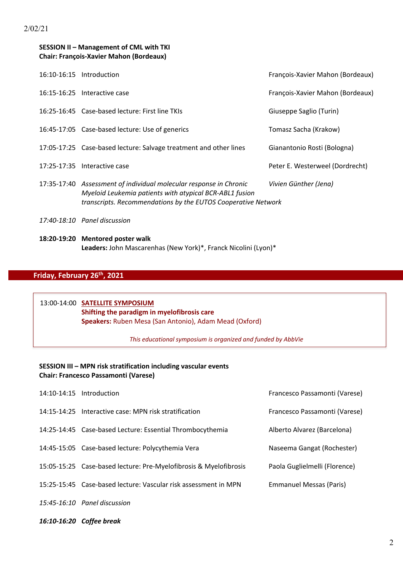## **SESSION II – Management of CML with TKI Chair: François-Xavier Mahon (Bordeaux)**

| 16:10-16:15 Introduction                                                                                                                                                                       | François-Xavier Mahon (Bordeaux) |
|------------------------------------------------------------------------------------------------------------------------------------------------------------------------------------------------|----------------------------------|
| 16:15-16:25 Interactive case                                                                                                                                                                   | François-Xavier Mahon (Bordeaux) |
| 16:25-16:45 Case-based lecture: First line TKIs                                                                                                                                                | Giuseppe Saglio (Turin)          |
| 16:45-17:05 Case-based lecture: Use of generics                                                                                                                                                | Tomasz Sacha (Krakow)            |
| 17:05-17:25 Case-based lecture: Salvage treatment and other lines                                                                                                                              | Gianantonio Rosti (Bologna)      |
| 17:25-17:35 Interactive case                                                                                                                                                                   | Peter E. Westerweel (Dordrecht)  |
| 17:35-17:40 Assessment of individual molecular response in Chronic<br>Myeloid Leukemia patients with atypical BCR-ABL1 fusion<br>transcripts. Recommendations by the EUTOS Cooperative Network | Vivien Günther (Jena)            |
| 17:40-18:10 Panel discussion                                                                                                                                                                   |                                  |

**18:20-19:20 Mentored poster walk** **Leaders:** John Mascarenhas (New York)\*, Franck Nicolini (Lyon)\*

# **Friday, February 26th, 2021**

## 13:00-14:00 **SATELLITE SYMPOSIUM Shifting the paradigm in myelofibrosis care Speakers:** Ruben Mesa (San Antonio), Adam Mead (Oxford)

*This educational symposium is organized and funded by AbbVie*

#### **SESSION III – MPN risk stratification including vascular events Chair: Francesco Passamonti (Varese)**

| 14:10-14:15 Introduction                                          | Francesco Passamonti (Varese)  |
|-------------------------------------------------------------------|--------------------------------|
| 14:15-14:25 Interactive case: MPN risk stratification             | Francesco Passamonti (Varese)  |
| 14:25-14:45 Case-based Lecture: Essential Thrombocythemia         | Alberto Alvarez (Barcelona)    |
| 14:45-15:05 Case-based lecture: Polycythemia Vera                 | Naseema Gangat (Rochester)     |
| 15:05-15:25 Case-based lecture: Pre-Myelofibrosis & Myelofibrosis | Paola Guglielmelli (Florence)  |
| 15:25-15:45 Case-based lecture: Vascular risk assessment in MPN   | <b>Emmanuel Messas (Paris)</b> |
| 15:45-16:10 Panel discussion                                      |                                |

*16:10-16:20 Coffee break*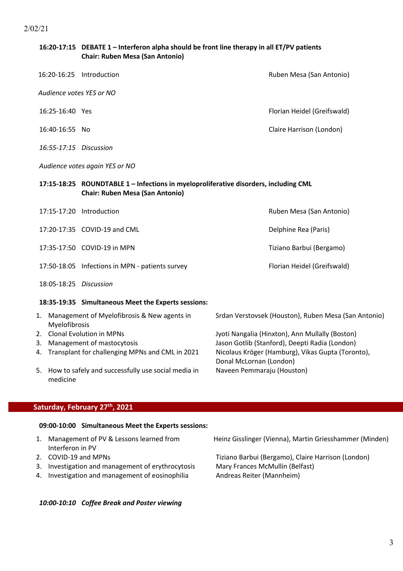## **16:20-17:15 DEBATE 1 – Interferon alpha should be front line therapy in all ET/PV patients Chair: Ruben Mesa (San Antonio)**

| 16:20-16:25 Introduction       | Ruben Mesa (San Antonio)    |  |
|--------------------------------|-----------------------------|--|
| Audience votes YES or NO       |                             |  |
| 16:25-16:40 Yes                | Florian Heidel (Greifswald) |  |
| 16:40-16:55 No                 | Claire Harrison (London)    |  |
| 16:55-17:15 Discussion         |                             |  |
| Audience votes again YES or NO |                             |  |

## **17:15-18:25 ROUNDTABLE 1 – Infections in myeloproliferative disorders, including CML Chair: Ruben Mesa (San Antonio)**

|                        | 17:15-17:20 Introduction                        | Ruben Mesa (San Antonio)    |
|------------------------|-------------------------------------------------|-----------------------------|
|                        | 17:20-17:35 COVID-19 and CML                    | Delphine Rea (Paris)        |
|                        | 17:35-17:50 COVID-19 in MPN                     | Tiziano Barbui (Bergamo)    |
|                        | 17:50-18:05 Infections in MPN - patients survey | Florian Heidel (Greifswald) |
| 18:05-18:25 Discussion |                                                 |                             |

#### **18:35-19:35 Simultaneous Meet the Experts sessions:**

| 1. | Management of Myelofibrosis & New agents in<br>Myelofibrosis      | Srdan Verstovsek (Houston), Ruben Mesa (San Antonio)                         |
|----|-------------------------------------------------------------------|------------------------------------------------------------------------------|
|    | 2. Clonal Evolution in MPNs                                       | Jyoti Nangalia (Hinxton), Ann Mullally (Boston)                              |
|    | 3. Management of mastocytosis                                     | Jason Gotlib (Stanford), Deepti Radia (London)                               |
|    | 4. Transplant for challenging MPNs and CML in 2021                | Nicolaus Kröger (Hamburg), Vikas Gupta (Toronto),<br>Donal McLornan (London) |
|    | 5. How to safely and successfully use social media in<br>medicine | Naveen Pemmaraju (Houston)                                                   |

#### **Saturday, February 27th, 2021**

#### **09:00-10:00 Simultaneous Meet the Experts sessions:**

- Interferon in PV
- 
- 3. Investigation and management of erythrocytosis Mary Frances McMullin (Belfast)
- 4. Investigation and management of eosinophilia Andreas Reiter (Mannheim)

*10:00-10:10 Coffee Break and Poster viewing*

1. Management of PV & Lessons learned from Heinz Gisslinger (Vienna), Martin Griesshammer (Minden)

2. COVID-19 and MPNs Tiziano Barbui (Bergamo), Claire Harrison (London)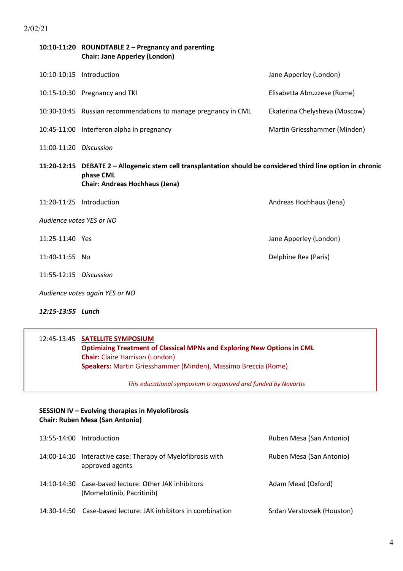2/02/21

|                                | 10:10-11:20 ROUNDTABLE 2 - Pregnancy and parenting<br><b>Chair: Jane Apperley (London)</b>                                                                          |                               |
|--------------------------------|---------------------------------------------------------------------------------------------------------------------------------------------------------------------|-------------------------------|
|                                | 10:10-10:15 Introduction                                                                                                                                            | Jane Apperley (London)        |
|                                | 10:15-10:30 Pregnancy and TKI                                                                                                                                       | Elisabetta Abruzzese (Rome)   |
|                                | 10:30-10:45 Russian recommendations to manage pregnancy in CML                                                                                                      | Ekaterina Chelysheva (Moscow) |
|                                | 10:45-11:00 Interferon alpha in pregnancy                                                                                                                           | Martin Griesshammer (Minden)  |
| 11:00-11:20 Discussion         |                                                                                                                                                                     |                               |
|                                | 11:20-12:15 DEBATE 2 - Allogeneic stem cell transplantation should be considered third line option in chronic<br>phase CML<br><b>Chair: Andreas Hochhaus (Jena)</b> |                               |
| 11:20-11:25                    | Introduction                                                                                                                                                        | Andreas Hochhaus (Jena)       |
| Audience votes YES or NO       |                                                                                                                                                                     |                               |
| 11:25-11:40 Yes                |                                                                                                                                                                     | Jane Apperley (London)        |
| 11:40-11:55 No                 |                                                                                                                                                                     | Delphine Rea (Paris)          |
| 11:55-12:15 Discussion         |                                                                                                                                                                     |                               |
| Audience votes again YES or NO |                                                                                                                                                                     |                               |

*12:15-13:55 Lunch*

#### 12:45-13:45 **SATELLITE SYMPOSIUM**

 **Optimizing Treatment of Classical MPNs and Exploring New Options in CML Chair:** Claire Harrison (London) **Speakers:** Martin Griesshammer (Minden), Massimo Breccia (Rome)

*This educational symposium is organized and funded by Novartis*

## **SESSION IV – Evolving therapies in Myelofibrosis Chair: Ruben Mesa (San Antonio)**

|             | 13:55-14:00 Introduction                                                          | Ruben Mesa (San Antonio)   |
|-------------|-----------------------------------------------------------------------------------|----------------------------|
|             | 14:00-14:10 Interactive case: Therapy of Myelofibrosis with<br>approved agents    | Ruben Mesa (San Antonio)   |
|             | 14:10-14:30 Case-based lecture: Other JAK inhibitors<br>(Momelotinib, Pacritinib) | Adam Mead (Oxford)         |
| 14:30-14:50 | Case-based lecture: JAK inhibitors in combination                                 | Srdan Verstovsek (Houston) |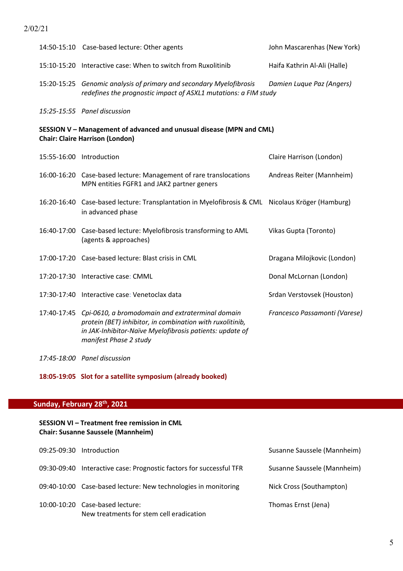## 2/02/21

|                                                                                                                | 14:50-15:10 Case-based lecture: Other agents                                                                                                                                                                    | John Mascarenhas (New York)   |
|----------------------------------------------------------------------------------------------------------------|-----------------------------------------------------------------------------------------------------------------------------------------------------------------------------------------------------------------|-------------------------------|
|                                                                                                                | 15:10-15:20 Interactive case: When to switch from Ruxolitinib                                                                                                                                                   | Haifa Kathrin Al-Ali (Halle)  |
|                                                                                                                | 15:20-15:25 Genomic analysis of primary and secondary Myelofibrosis<br>redefines the prognostic impact of ASXL1 mutations: a FIM study                                                                          | Damien Luque Paz (Angers)     |
|                                                                                                                | 15:25-15:55 Panel discussion                                                                                                                                                                                    |                               |
| SESSION V - Management of advanced and unusual disease (MPN and CML)<br><b>Chair: Claire Harrison (London)</b> |                                                                                                                                                                                                                 |                               |
|                                                                                                                | 15:55-16:00 Introduction                                                                                                                                                                                        | Claire Harrison (London)      |
|                                                                                                                | 16:00-16:20 Case-based lecture: Management of rare translocations<br>MPN entities FGFR1 and JAK2 partner geners                                                                                                 | Andreas Reiter (Mannheim)     |
|                                                                                                                | 16:20-16:40 Case-based lecture: Transplantation in Myelofibrosis & CML Nicolaus Kröger (Hamburg)<br>in advanced phase                                                                                           |                               |
|                                                                                                                | 16:40-17:00 Case-based lecture: Myelofibrosis transforming to AML<br>(agents & approaches)                                                                                                                      | Vikas Gupta (Toronto)         |
|                                                                                                                | 17:00-17:20 Case-based lecture: Blast crisis in CML                                                                                                                                                             | Dragana Milojkovic (London)   |
|                                                                                                                | 17:20-17:30 Interactive case: CMML                                                                                                                                                                              | Donal McLornan (London)       |
|                                                                                                                | 17:30-17:40 Interactive case: Venetoclax data                                                                                                                                                                   | Srdan Verstovsek (Houston)    |
|                                                                                                                | 17:40-17:45 Cpi-0610, a bromodomain and extraterminal domain<br>protein (BET) inhibitor, in combination with ruxolitinib,<br>in JAK-Inhibitor-Naïve Myelofibrosis patients: update of<br>manifest Phase 2 study | Francesco Passamonti (Varese) |

*17:45-18:00 Panel discussion*

**18:05-19:05 Slot for a satellite symposium (already booked)**

# **Sunday, February 28th, 2021**

## **SESSION VI – Treatment free remission in CML Chair: Susanne Saussele (Mannheim)**

| 09:25-09:30 Introduction                                                    | Susanne Saussele (Mannheim) |
|-----------------------------------------------------------------------------|-----------------------------|
| 09:30-09:40 Interactive case: Prognostic factors for successful TFR         | Susanne Saussele (Mannheim) |
| 09:40-10:00 Case-based lecture: New technologies in monitoring              | Nick Cross (Southampton)    |
| 10:00-10:20 Case-based lecture:<br>New treatments for stem cell eradication | Thomas Ernst (Jena)         |